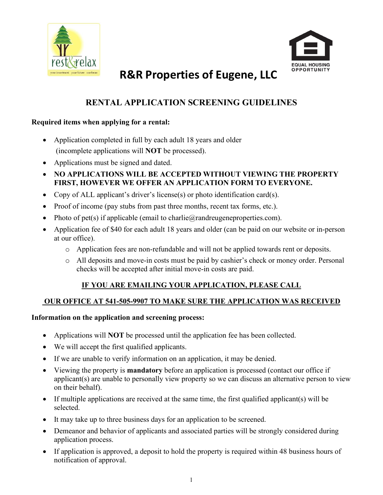



# R&R Properties of Eugene, LLC

# RENTAL APPLICATION SCREENING GUIDELINES

#### Required items when applying for a rental:

- Application completed in full by each adult 18 years and older (incomplete applications will NOT be processed).
- Applications must be signed and dated.
- NO APPLICATIONS WILL BE ACCEPTED WITHOUT VIEWING THE PROPERTY FIRST, HOWEVER WE OFFER AN APPLICATION FORM TO EVERYONE.
- Copy of ALL applicant's driver's license(s) or photo identification card(s).
- Proof of income (pay stubs from past three months, recent tax forms, etc.).
- Photo of pet(s) if applicable (email to charlie@randreugeneproperties.com).
- Application fee of \$40 for each adult 18 years and older (can be paid on our website or in-person at our office).
	- o Application fees are non-refundable and will not be applied towards rent or deposits.
	- o All deposits and move-in costs must be paid by cashier's check or money order. Personal checks will be accepted after initial move-in costs are paid.

# IF YOU ARE EMAILING YOUR APPLICATION, PLEASE CALL

# OUR OFFICE AT 541-505-9907 TO MAKE SURE THE APPLICATION WAS RECEIVED

#### Information on the application and screening process:

- Applications will **NOT** be processed until the application fee has been collected.
- We will accept the first qualified applicants.
- If we are unable to verify information on an application, it may be denied.
- Viewing the property is mandatory before an application is processed (contact our office if applicant(s) are unable to personally view property so we can discuss an alternative person to view on their behalf).
- $\bullet$  If multiple applications are received at the same time, the first qualified applicant(s) will be selected.
- It may take up to three business days for an application to be screened.
- Demeanor and behavior of applicants and associated parties will be strongly considered during application process.
- If application is approved, a deposit to hold the property is required within 48 business hours of notification of approval.